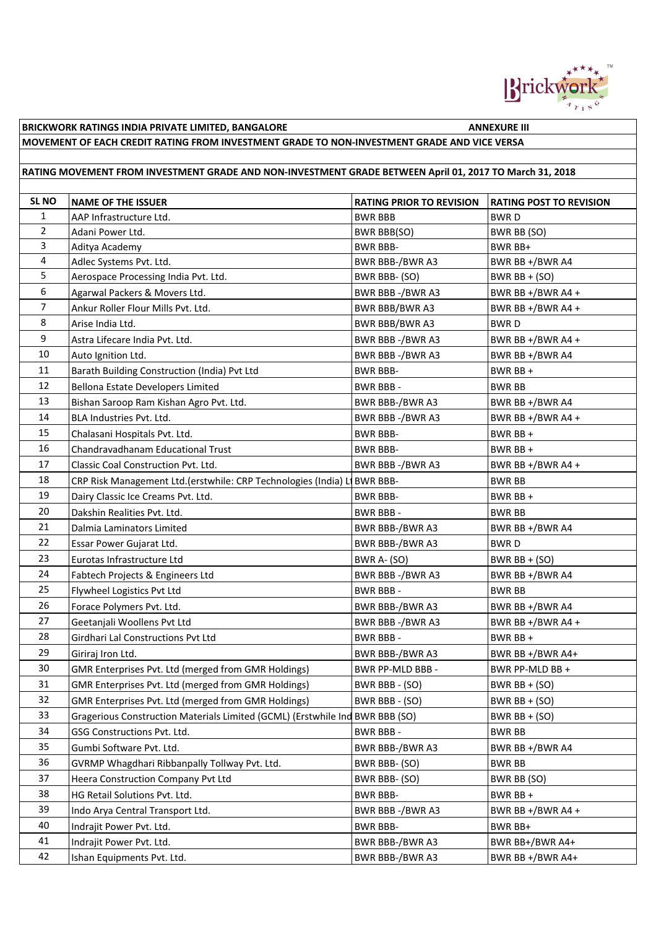

## **MOVEMENT OF EACH CREDIT RATING FROM INVESTMENT GRADE TO NON-INVESTMENT GRADE AND VICE VERSA**

## **RATING MOVEMENT FROM INVESTMENT GRADE AND NON-INVESTMENT GRADE BETWEEN April 01, 2017 TO March 31, 2018**

| <b>SL NO</b>   | <b>NAME OF THE ISSUER</b>                                                    | <b>RATING PRIOR TO REVISION</b> | <b>RATING POST TO REVISION</b> |
|----------------|------------------------------------------------------------------------------|---------------------------------|--------------------------------|
| $\mathbf{1}$   | AAP Infrastructure Ltd.                                                      | <b>BWR BBB</b>                  | <b>BWRD</b>                    |
| $\overline{2}$ | Adani Power Ltd.                                                             | <b>BWR BBB(SO)</b>              | BWR BB (SO)                    |
| 3              | Aditya Academy                                                               | <b>BWR BBB-</b>                 | BWR BB+                        |
| 4              | Adlec Systems Pvt. Ltd.                                                      | BWR BBB-/BWR A3                 | BWR BB +/BWR A4                |
| 5              | Aerospace Processing India Pvt. Ltd.                                         | BWR BBB- (SO)                   | BWR $BB + (SO)$                |
| 6              | Agarwal Packers & Movers Ltd.                                                | BWR BBB-/BWR A3                 | BWR BB +/BWR A4 +              |
| $\overline{7}$ | Ankur Roller Flour Mills Pvt. Ltd.                                           | <b>BWR BBB/BWR A3</b>           | BWR BB +/BWR A4 +              |
| 8              | Arise India Ltd.                                                             | <b>BWR BBB/BWR A3</b>           | <b>BWRD</b>                    |
| 9              | Astra Lifecare India Pvt. Ltd.                                               | BWR BBB-/BWR A3                 | BWR BB +/BWR A4 +              |
| 10             | Auto Ignition Ltd.                                                           | BWR BBB -/BWR A3                | BWR BB +/BWR A4                |
| 11             | Barath Building Construction (India) Pvt Ltd                                 | <b>BWR BBB-</b>                 | BWR BB +                       |
| 12             | Bellona Estate Developers Limited                                            | BWR BBB -                       | BWR BB                         |
| 13             | Bishan Saroop Ram Kishan Agro Pvt. Ltd.                                      | BWR BBB-/BWR A3                 | BWR BB +/BWR A4                |
| 14             | BLA Industries Pvt. Ltd.                                                     | BWR BBB-/BWR A3                 | BWR BB +/BWR A4 +              |
| 15             | Chalasani Hospitals Pvt. Ltd.                                                | <b>BWR BBB-</b>                 | BWR BB +                       |
| 16             | Chandravadhanam Educational Trust                                            | <b>BWR BBB-</b>                 | BWR BB +                       |
| 17             | Classic Coal Construction Pvt. Ltd.                                          | BWR BBB-/BWR A3                 | BWR BB +/BWR A4 +              |
| 18             | CRP Risk Management Ltd. (erstwhile: CRP Technologies (India) Li BWR BBB-    |                                 | <b>BWR BB</b>                  |
| 19             | Dairy Classic Ice Creams Pvt. Ltd.                                           | <b>BWR BBB-</b>                 | BWR BB +                       |
| 20             | Dakshin Realities Pvt. Ltd.                                                  | <b>BWR BBB-</b>                 | <b>BWR BB</b>                  |
| 21             | Dalmia Laminators Limited                                                    | BWR BBB-/BWR A3                 | BWR BB +/BWR A4                |
| 22             | Essar Power Gujarat Ltd.                                                     | BWR BBB-/BWR A3                 | <b>BWRD</b>                    |
| 23             | Eurotas Infrastructure Ltd                                                   | BWR A- (SO)                     | BWR $BB + (SO)$                |
| 24             | Fabtech Projects & Engineers Ltd                                             | BWR BBB-/BWR A3                 | BWR BB +/BWR A4                |
| 25             | Flywheel Logistics Pvt Ltd                                                   | <b>BWR BBB-</b>                 | <b>BWR BB</b>                  |
| 26             | Forace Polymers Pvt. Ltd.                                                    | BWR BBB-/BWR A3                 | BWR BB +/BWR A4                |
| 27             | Geetanjali Woollens Pvt Ltd                                                  | BWR BBB-/BWR A3                 | BWR BB +/BWR A4 +              |
| 28             | Girdhari Lal Constructions Pvt Ltd                                           | <b>BWR BBB-</b>                 | BWR BB +                       |
| 29             | Giriraj Iron Ltd.                                                            | BWR BBB-/BWR A3                 | BWR BB +/BWR A4+               |
| 30             | GMR Enterprises Pvt. Ltd (merged from GMR Holdings)                          | BWR PP-MLD BBB -                | BWR PP-MLD BB +                |
| 31             | GMR Enterprises Pvt. Ltd (merged from GMR Holdings)                          | BWR BBB - (SO)                  | BWR BB + $(SO)$                |
| 32             | GMR Enterprises Pvt. Ltd (merged from GMR Holdings)                          | BWR BBB - (SO)                  | BWR $BB + (SO)$                |
| 33             | Gragerious Construction Materials Limited (GCML) (Erstwhile Ind BWR BBB (SO) |                                 | BWR $BB + (SO)$                |
| 34             | GSG Constructions Pvt. Ltd.                                                  | BWR BBB -                       | <b>BWR BB</b>                  |
| 35             | Gumbi Software Pvt. Ltd.                                                     | BWR BBB-/BWR A3                 | BWR BB +/BWR A4                |
| 36             | GVRMP Whagdhari Ribbanpally Tollway Pvt. Ltd.                                | BWR BBB- (SO)                   | <b>BWR BB</b>                  |
| 37             | Heera Construction Company Pvt Ltd                                           | BWR BBB- (SO)                   | BWR BB (SO)                    |
| 38             | HG Retail Solutions Pvt. Ltd.                                                | <b>BWR BBB-</b>                 | BWR BB +                       |
| 39             | Indo Arya Central Transport Ltd.                                             | BWR BBB -/BWR A3                | BWR BB +/BWR A4 +              |
| 40             | Indrajit Power Pvt. Ltd.                                                     | <b>BWR BBB-</b>                 | BWR BB+                        |
| 41             | Indrajit Power Pvt. Ltd.                                                     | BWR BBB-/BWR A3                 | BWR BB+/BWR A4+                |
| 42             | Ishan Equipments Pvt. Ltd.                                                   | BWR BBB-/BWR A3                 | BWR BB $+/BWR$ A4+             |
|                |                                                                              |                                 |                                |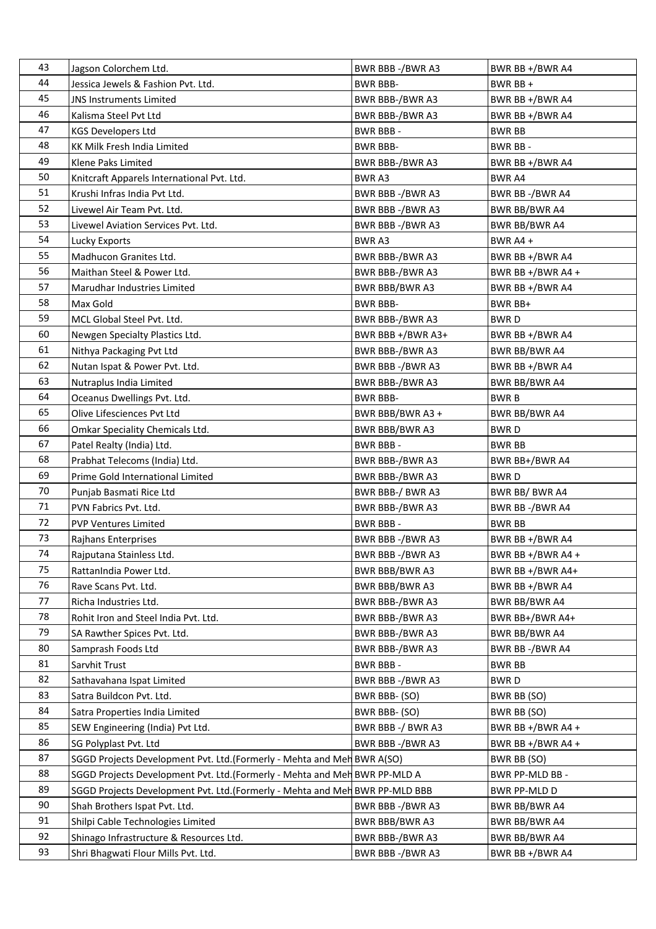| 43 | Jagson Colorchem Ltd.                                                        | BWR BBB-/BWR A3       | BWR BB +/BWR A4      |
|----|------------------------------------------------------------------------------|-----------------------|----------------------|
| 44 | Jessica Jewels & Fashion Pvt. Ltd.                                           | <b>BWR BBB-</b>       | BWR BB +             |
| 45 | <b>JNS Instruments Limited</b>                                               | BWR BBB-/BWR A3       | BWR BB +/BWR A4      |
| 46 | Kalisma Steel Pvt Ltd                                                        | BWR BBB-/BWR A3       | BWR BB +/BWR A4      |
| 47 | <b>KGS Developers Ltd</b>                                                    | <b>BWR BBB-</b>       | <b>BWR BB</b>        |
| 48 | KK Milk Fresh India Limited                                                  | <b>BWR BBB-</b>       | BWR BB-              |
| 49 | Klene Paks Limited                                                           | BWR BBB-/BWR A3       | BWR BB +/BWR A4      |
| 50 | Knitcraft Apparels International Pvt. Ltd.                                   | BWR A3                | <b>BWR A4</b>        |
| 51 | Krushi Infras India Pvt Ltd.                                                 | BWR BBB-/BWR A3       | BWR BB-/BWR A4       |
| 52 | Livewel Air Team Pvt. Ltd.                                                   | BWR BBB-/BWR A3       | <b>BWR BB/BWR A4</b> |
| 53 | Livewel Aviation Services Pvt. Ltd.                                          | BWR BBB-/BWR A3       | BWR BB/BWR A4        |
| 54 | Lucky Exports                                                                | BWR A3                | BWR A4 +             |
| 55 | Madhucon Granites Ltd.                                                       | BWR BBB-/BWR A3       | BWR BB +/BWR A4      |
| 56 | Maithan Steel & Power Ltd.                                                   | BWR BBB-/BWR A3       | BWR BB $+/BWR$ A4 +  |
| 57 | Marudhar Industries Limited                                                  | BWR BBB/BWR A3        | BWR BB +/BWR A4      |
| 58 | Max Gold                                                                     | <b>BWR BBB-</b>       | BWR BB+              |
| 59 | MCL Global Steel Pvt. Ltd.                                                   | BWR BBB-/BWR A3       | <b>BWRD</b>          |
| 60 | Newgen Specialty Plastics Ltd.                                               | BWR BBB +/BWR A3+     | BWR BB +/BWR A4      |
| 61 | Nithya Packaging Pvt Ltd                                                     | BWR BBB-/BWR A3       | <b>BWR BB/BWR A4</b> |
| 62 | Nutan Ispat & Power Pvt. Ltd.                                                | BWR BBB-/BWR A3       | BWR BB +/BWR A4      |
| 63 | Nutraplus India Limited                                                      | BWR BBB-/BWR A3       | <b>BWR BB/BWR A4</b> |
| 64 | Oceanus Dwellings Pvt. Ltd.                                                  | <b>BWR BBB-</b>       | <b>BWRB</b>          |
| 65 | Olive Lifesciences Pvt Ltd                                                   | BWR BBB/BWR A3 +      | BWR BB/BWR A4        |
| 66 | Omkar Speciality Chemicals Ltd.                                              | BWR BBB/BWR A3        | <b>BWRD</b>          |
| 67 | Patel Realty (India) Ltd.                                                    | BWR BBB-              | BWR BB               |
| 68 | Prabhat Telecoms (India) Ltd.                                                | BWR BBB-/BWR A3       | BWR BB+/BWR A4       |
| 69 | Prime Gold International Limited                                             | BWR BBB-/BWR A3       | <b>BWRD</b>          |
| 70 | Punjab Basmati Rice Ltd                                                      | BWR BBB-/ BWR A3      | BWR BB/BWR A4        |
| 71 | PVN Fabrics Pvt. Ltd.                                                        | BWR BBB-/BWR A3       | BWR BB-/BWR A4       |
| 72 | <b>PVP Ventures Limited</b>                                                  | <b>BWR BBB-</b>       | <b>BWR BB</b>        |
| 73 | Rajhans Enterprises                                                          | BWR BBB -/BWR A3      | BWR BB +/BWR A4      |
| 74 | Rajputana Stainless Ltd.                                                     | BWR BBB-/BWR A3       | BWR BB +/BWR A4 +    |
| 75 | RattanIndia Power Ltd.                                                       | <b>BWR BBB/BWR A3</b> | BWR BB $+/BWR$ A4+   |
| 76 | Rave Scans Pvt. Ltd.                                                         | BWR BBB/BWR A3        | BWR BB +/BWR A4      |
| 77 | Richa Industries Ltd.                                                        | BWR BBB-/BWR A3       | BWR BB/BWR A4        |
| 78 | Rohit Iron and Steel India Pvt. Ltd.                                         | BWR BBB-/BWR A3       | BWR BB+/BWR A4+      |
| 79 | SA Rawther Spices Pvt. Ltd.                                                  | BWR BBB-/BWR A3       | <b>BWR BB/BWR A4</b> |
| 80 | Samprash Foods Ltd                                                           | BWR BBB-/BWR A3       | BWR BB-/BWR A4       |
| 81 | Sarvhit Trust                                                                | BWR BBB-              | <b>BWR BB</b>        |
| 82 | Sathavahana Ispat Limited                                                    | BWR BBB-/BWR A3       | BWR D                |
| 83 | Satra Buildcon Pvt. Ltd.                                                     | BWR BBB- (SO)         | BWR BB (SO)          |
| 84 | Satra Properties India Limited                                               | BWR BBB- (SO)         | BWR BB (SO)          |
| 85 | SEW Engineering (India) Pvt Ltd.                                             | BWR BBB-/ BWR A3      | BWR BB +/BWR A4 +    |
| 86 | SG Polyplast Pvt. Ltd                                                        | BWR BBB-/BWR A3       | BWR BB +/BWR A4 +    |
| 87 | SGGD Projects Development Pvt. Ltd. (Formerly - Mehta and Meh BWR A(SO)      |                       | BWR BB (SO)          |
| 88 | SGGD Projects Development Pvt. Ltd. (Formerly - Mehta and Meh BWR PP-MLD A   |                       | BWR PP-MLD BB -      |
| 89 | SGGD Projects Development Pvt. Ltd. (Formerly - Mehta and Meh BWR PP-MLD BBB |                       | BWR PP-MLD D         |
| 90 | Shah Brothers Ispat Pvt. Ltd.                                                | BWR BBB -/BWR A3      | BWR BB/BWR A4        |
| 91 | Shilpi Cable Technologies Limited                                            | BWR BBB/BWR A3        | BWR BB/BWR A4        |
| 92 | Shinago Infrastructure & Resources Ltd.                                      | BWR BBB-/BWR A3       | BWR BB/BWR A4        |
| 93 | Shri Bhagwati Flour Mills Pvt. Ltd.                                          | BWR BBB-/BWR A3       | BWR BB +/BWR A4      |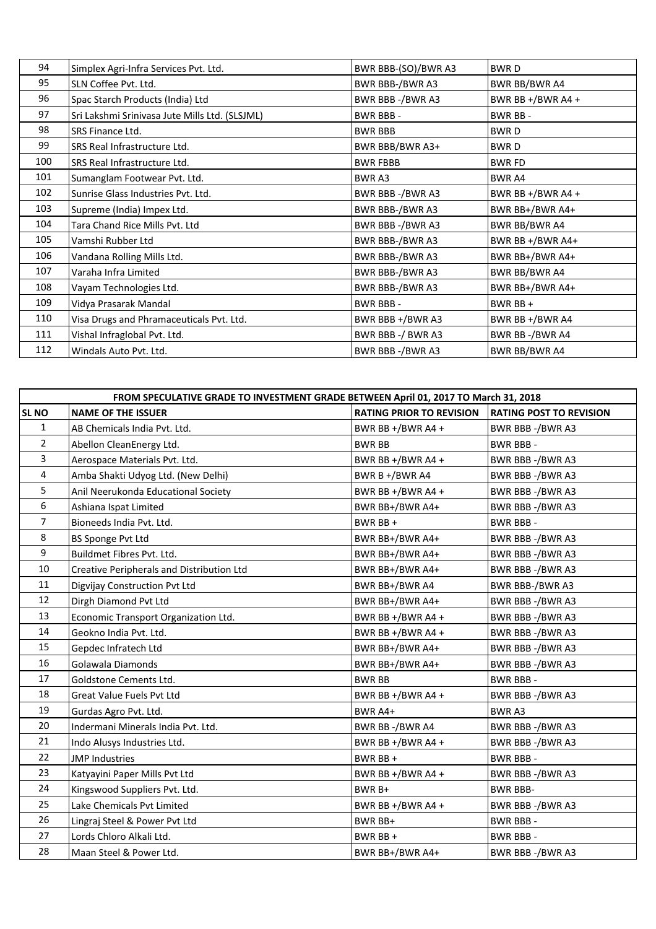| 94  | Simplex Agri-Infra Services Pvt. Ltd.          | BWR BBB-(SO)/BWR A3    | <b>BWRD</b>       |
|-----|------------------------------------------------|------------------------|-------------------|
| 95  | SLN Coffee Pvt. Ltd.                           | BWR BBB-/BWR A3        | BWR BB/BWR A4     |
| 96  | Spac Starch Products (India) Ltd               | BWR BBB-/BWR A3        | BWR BB +/BWR A4 + |
| 97  | Sri Lakshmi Srinivasa Jute Mills Ltd. (SLSJML) | <b>BWR BBB-</b>        | BWR BB-           |
| 98  | SRS Finance Ltd.                               | <b>BWR BBB</b>         | <b>BWRD</b>       |
| 99  | SRS Real Infrastructure Ltd.                   | BWR BBB/BWR A3+        | <b>BWRD</b>       |
| 100 | SRS Real Infrastructure Ltd.                   | <b>BWR FBBB</b>        | <b>BWR FD</b>     |
| 101 | Sumanglam Footwear Pvt. Ltd.                   | BWR A3                 | <b>BWR A4</b>     |
| 102 | Sunrise Glass Industries Pyt. Ltd.             | BWR BBB-/BWR A3        | BWR BB +/BWR A4 + |
| 103 | Supreme (India) Impex Ltd.                     | BWR BBB-/BWR A3        | BWR BB+/BWR A4+   |
| 104 | Tara Chand Rice Mills Pvt. Ltd                 | BWR BBB-/BWR A3        | BWR BB/BWR A4     |
| 105 | Vamshi Rubber Ltd                              | BWR BBB-/BWR A3        | BWR BB +/BWR A4+  |
| 106 | Vandana Rolling Mills Ltd.                     | <b>BWR BBB-/BWR A3</b> | BWR BB+/BWR A4+   |
| 107 | Varaha Infra Limited                           | <b>BWR BBB-/BWR A3</b> | BWR BB/BWR A4     |
| 108 | Vayam Technologies Ltd.                        | BWR BBB-/BWR A3        | BWR BB+/BWR A4+   |
| 109 | Vidya Prasarak Mandal                          | <b>BWR BBB-</b>        | BWR BB +          |
| 110 | Visa Drugs and Phramaceuticals Pvt. Ltd.       | BWR BBB +/BWR A3       | BWR BB +/BWR A4   |
| 111 | Vishal Infraglobal Pvt. Ltd.                   | BWR BBB-/ BWR A3       | BWR BB-/BWR A4    |
| 112 | Windals Auto Pyt. Ltd.                         | BWR BBB-/BWR A3        | BWR BB/BWR A4     |

| FROM SPECULATIVE GRADE TO INVESTMENT GRADE BETWEEN April 01, 2017 TO March 31, 2018 |                                           |                                 |                                |
|-------------------------------------------------------------------------------------|-------------------------------------------|---------------------------------|--------------------------------|
| <b>SL NO</b>                                                                        | <b>NAME OF THE ISSUER</b>                 | <b>RATING PRIOR TO REVISION</b> | <b>RATING POST TO REVISION</b> |
| 1                                                                                   | AB Chemicals India Pvt. Ltd.              | BWR BB +/BWR A4 +               | BWR BBB-/BWR A3                |
| $\overline{2}$                                                                      | Abellon CleanEnergy Ltd.                  | <b>BWR BB</b>                   | <b>BWR BBB-</b>                |
| 3                                                                                   | Aerospace Materials Pvt. Ltd.             | BWR BB +/BWR A4 +               | BWR BBB-/BWR A3                |
| 4                                                                                   | Amba Shakti Udyog Ltd. (New Delhi)        | BWR B $+/BWR$ A4                | BWR BBB-/BWR A3                |
| 5                                                                                   | Anil Neerukonda Educational Society       | BWR BB $+/BWR$ A4 $+$           | BWR BBB-/BWR A3                |
| 6                                                                                   | Ashiana Ispat Limited                     | BWR BB+/BWR A4+                 | BWR BBB-/BWR A3                |
| 7                                                                                   | Bioneeds India Pvt. Ltd.                  | BWR BB+                         | <b>BWR BBB-</b>                |
| 8                                                                                   | BS Sponge Pvt Ltd                         | BWR BB+/BWR A4+                 | BWR BBB-/BWR A3                |
| 9                                                                                   | Buildmet Fibres Pvt. Ltd.                 | BWR BB+/BWR A4+                 | BWR BBB-/BWR A3                |
| 10                                                                                  | Creative Peripherals and Distribution Ltd | BWR BB+/BWR A4+                 | BWR BBB-/BWR A3                |
| 11                                                                                  | Digvijay Construction Pvt Ltd             | BWR BB+/BWR A4                  | BWR BBB-/BWR A3                |
| 12                                                                                  | Dirgh Diamond Pvt Ltd                     | BWR BB+/BWR A4+                 | BWR BBB-/BWR A3                |
| 13                                                                                  | Economic Transport Organization Ltd.      | BWR BB +/BWR A4 +               | BWR BBB-/BWR A3                |
| 14                                                                                  | Geokno India Pvt. Ltd.                    | BWR BB +/BWR A4 +               | BWR BBB-/BWR A3                |
| 15                                                                                  | Gepdec Infratech Ltd                      | BWR BB+/BWR A4+                 | BWR BBB-/BWR A3                |
| 16                                                                                  | Golawala Diamonds                         | BWR BB+/BWR A4+                 | BWR BBB-/BWR A3                |
| 17                                                                                  | Goldstone Cements Ltd.                    | <b>BWR BB</b>                   | <b>BWR BBB-</b>                |
| 18                                                                                  | Great Value Fuels Pvt Ltd                 | BWR BB +/BWR A4 +               | BWR BBB-/BWR A3                |
| 19                                                                                  | Gurdas Agro Pvt. Ltd.                     | BWR A4+                         | BWR A3                         |
| 20                                                                                  | Indermani Minerals India Pvt. Ltd.        | BWR BB-/BWR A4                  | BWR BBB-/BWR A3                |
| 21                                                                                  | Indo Alusys Industries Ltd.               | BWR BB +/BWR A4 +               | BWR BBB-/BWR A3                |
| 22                                                                                  | <b>JMP Industries</b>                     | BWR BB+                         | <b>BWR BBB-</b>                |
| 23                                                                                  | Katyayini Paper Mills Pvt Ltd             | BWR BB +/BWR A4 +               | BWR BBB-/BWR A3                |
| 24                                                                                  | Kingswood Suppliers Pvt. Ltd.             | BWR B+                          | <b>BWR BBB-</b>                |
| 25                                                                                  | Lake Chemicals Pvt Limited                | BWR BB +/BWR A4 +               | BWR BBB -/BWR A3               |
| 26                                                                                  | Lingraj Steel & Power Pvt Ltd             | BWR BB+                         | BWR BBB-                       |
| 27                                                                                  | Lords Chloro Alkali Ltd.                  | BWR BB +                        | <b>BWR BBB-</b>                |
| 28                                                                                  | Maan Steel & Power Ltd.                   | BWR BB+/BWR A4+                 | BWR BBB-/BWR A3                |